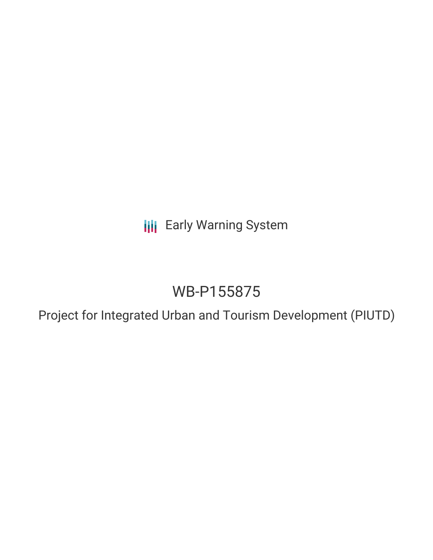**III** Early Warning System

# WB-P155875

Project for Integrated Urban and Tourism Development (PIUTD)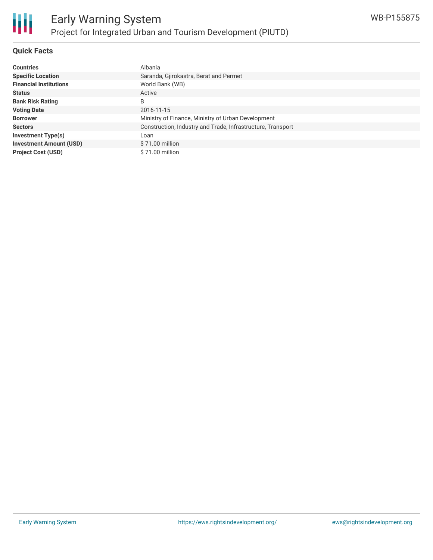#### **Quick Facts**

| <b>Countries</b>               | Albania                                                     |
|--------------------------------|-------------------------------------------------------------|
| <b>Specific Location</b>       | Saranda, Gjirokastra, Berat and Permet                      |
| <b>Financial Institutions</b>  | World Bank (WB)                                             |
| <b>Status</b>                  | Active                                                      |
| <b>Bank Risk Rating</b>        | B                                                           |
| <b>Voting Date</b>             | 2016-11-15                                                  |
| <b>Borrower</b>                | Ministry of Finance, Ministry of Urban Development          |
| <b>Sectors</b>                 | Construction, Industry and Trade, Infrastructure, Transport |
| <b>Investment Type(s)</b>      | Loan                                                        |
| <b>Investment Amount (USD)</b> | $$71.00$ million                                            |
| <b>Project Cost (USD)</b>      | \$71.00 million                                             |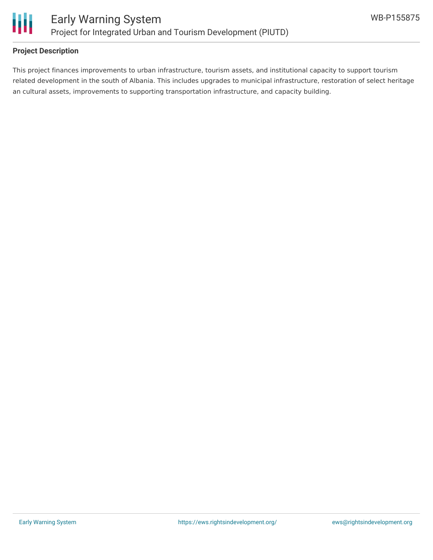

#### **Project Description**

This project finances improvements to urban infrastructure, tourism assets, and institutional capacity to support tourism related development in the south of Albania. This includes upgrades to municipal infrastructure, restoration of select heritage an cultural assets, improvements to supporting transportation infrastructure, and capacity building.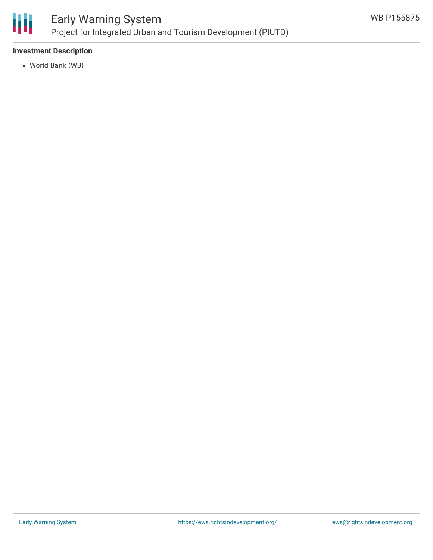

#### **Investment Description**

World Bank (WB)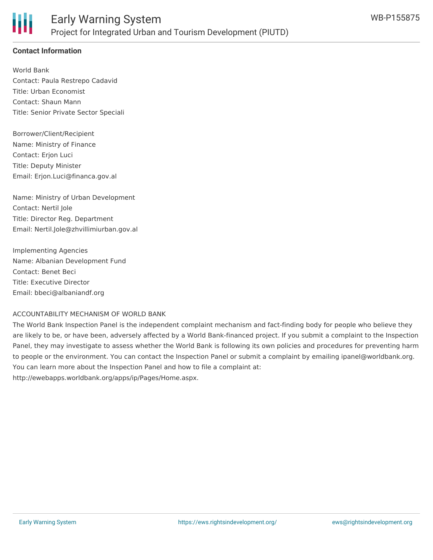### **Contact Information**

World Bank Contact: Paula Restrepo Cadavid Title: Urban Economist Contact: Shaun Mann Title: Senior Private Sector Speciali

Borrower/Client/Recipient Name: Ministry of Finance Contact: Erjon Luci Title: Deputy Minister Email: Erjon.Luci@financa.gov.al

Name: Ministry of Urban Development Contact: Nertil Jole Title: Director Reg. Department Email: Nertil.Jole@zhvillimiurban.gov.al

Implementing Agencies Name: Albanian Development Fund Contact: Benet Beci Title: Executive Director Email: bbeci@albaniandf.org

#### ACCOUNTABILITY MECHANISM OF WORLD BANK

The World Bank Inspection Panel is the independent complaint mechanism and fact-finding body for people who believe they are likely to be, or have been, adversely affected by a World Bank-financed project. If you submit a complaint to the Inspection Panel, they may investigate to assess whether the World Bank is following its own policies and procedures for preventing harm to people or the environment. You can contact the Inspection Panel or submit a complaint by emailing ipanel@worldbank.org. You can learn more about the Inspection Panel and how to file a complaint at: http://ewebapps.worldbank.org/apps/ip/Pages/Home.aspx.